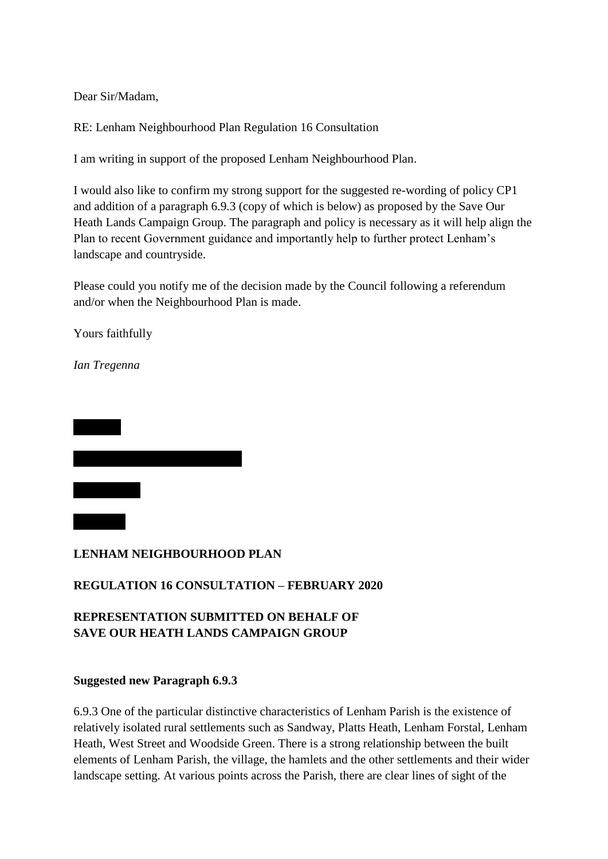Dear Sir/Madam,

RE: Lenham Neighbourhood Plan Regulation 16 Consultation

I am writing in support of the proposed Lenham Neighbourhood Plan.

I would also like to confirm my strong support for the suggested re-wording of policy CP1 and addition of a paragraph 6.9.3 (copy of which is below) as proposed by the Save Our Heath Lands Campaign Group. The paragraph and policy is necessary as it will help align the Plan to recent Government guidance and importantly help to further protect Lenham's landscape and countryside.

Please could you notify me of the decision made by the Council following a referendum and/or when the Neighbourhood Plan is made.

Yours faithfully

*Ian Tregenna*



## **LENHAM NEIGHBOURHOOD PLAN**

## **REGULATION 16 CONSULTATION – FEBRUARY 2020**

# **REPRESENTATION SUBMITTED ON BEHALF OF SAVE OUR HEATH LANDS CAMPAIGN GROUP**

#### **Suggested new Paragraph 6.9.3**

6.9.3 One of the particular distinctive characteristics of Lenham Parish is the existence of relatively isolated rural settlements such as Sandway, Platts Heath, Lenham Forstal, Lenham Heath, West Street and Woodside Green. There is a strong relationship between the built elements of Lenham Parish, the village, the hamlets and the other settlements and their wider landscape setting. At various points across the Parish, there are clear lines of sight of the